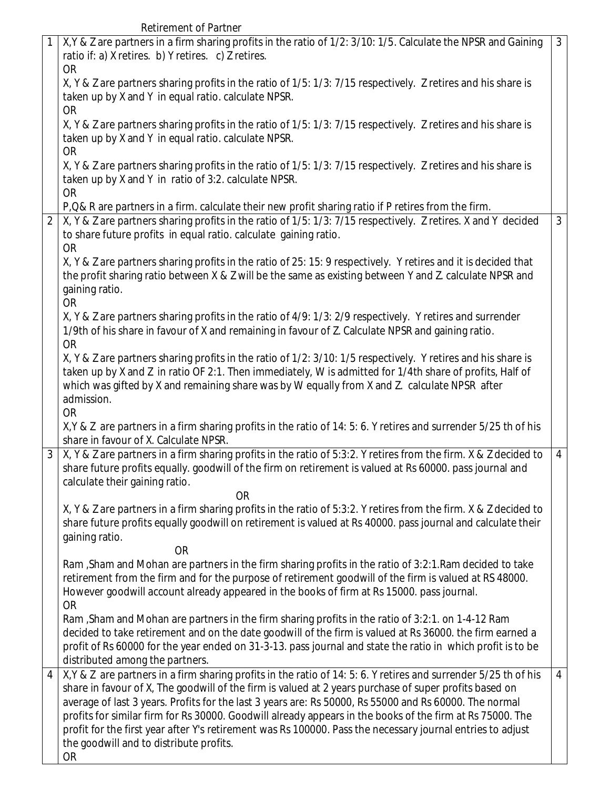Retirement of Partner

| X, Y & Z are partners in a firm sharing profits in the ratio of 1/2: 3/10: 1/5. Calculate the NPSR and Gaining<br>ratio if: a) X retires. b) Y retires. c) Z retires.                                                                                                                                                                                                                                                                                                                                                                                                                                      | 3                                                                                                                                                                                                                                                                                      |
|------------------------------------------------------------------------------------------------------------------------------------------------------------------------------------------------------------------------------------------------------------------------------------------------------------------------------------------------------------------------------------------------------------------------------------------------------------------------------------------------------------------------------------------------------------------------------------------------------------|----------------------------------------------------------------------------------------------------------------------------------------------------------------------------------------------------------------------------------------------------------------------------------------|
| X, Y & Z are partners sharing profits in the ratio of 1/5: 1/3: 7/15 respectively. Z retires and his share is<br>taken up by X and Y in equal ratio. calculate NPSR.                                                                                                                                                                                                                                                                                                                                                                                                                                       |                                                                                                                                                                                                                                                                                        |
| X, Y & Z are partners sharing profits in the ratio of 1/5: 1/3: 7/15 respectively. Z retires and his share is<br>taken up by X and Y in equal ratio. calculate NPSR.                                                                                                                                                                                                                                                                                                                                                                                                                                       |                                                                                                                                                                                                                                                                                        |
| X, Y & Z are partners sharing profits in the ratio of 1/5: 1/3: 7/15 respectively. Z retires and his share is<br>taken up by X and Y in ratio of 3:2. calculate NPSR.                                                                                                                                                                                                                                                                                                                                                                                                                                      |                                                                                                                                                                                                                                                                                        |
|                                                                                                                                                                                                                                                                                                                                                                                                                                                                                                                                                                                                            |                                                                                                                                                                                                                                                                                        |
| X, Y & Z are partners sharing profits in the ratio of 1/5: 1/3: 7/15 respectively. Z retires. X and Y decided<br>to share future profits in equal ratio. calculate gaining ratio.                                                                                                                                                                                                                                                                                                                                                                                                                          | $\mathfrak{Z}$                                                                                                                                                                                                                                                                         |
| X, Y & Z are partners sharing profits in the ratio of 25: 15: 9 respectively. Y retires and it is decided that<br>the profit sharing ratio between X & Z will be the same as existing between Y and Z. calculate NPSR and<br>gaining ratio.                                                                                                                                                                                                                                                                                                                                                                |                                                                                                                                                                                                                                                                                        |
| X, Y & Z are partners sharing profits in the ratio of 4/9: 1/3: 2/9 respectively. Y retires and surrender<br>1/9th of his share in favour of X and remaining in favour of Z. Calculate NPSR and gaining ratio.<br><b>OR</b>                                                                                                                                                                                                                                                                                                                                                                                |                                                                                                                                                                                                                                                                                        |
| X, Y & Z are partners sharing profits in the ratio of 1/2: 3/10: 1/5 respectively. Y retires and his share is<br>taken up by X and Z in ratio OF 2:1. Then immediately, W is admitted for 1/4th share of profits, Half of<br>which was gifted by X and remaining share was by W equally from X and Z. calculate NPSR after<br>admission.                                                                                                                                                                                                                                                                   |                                                                                                                                                                                                                                                                                        |
| X, Y & Z are partners in a firm sharing profits in the ratio of 14: 5: 6. Y retires and surrender 5/25 th of his<br>share in favour of X. Calculate NPSR.                                                                                                                                                                                                                                                                                                                                                                                                                                                  |                                                                                                                                                                                                                                                                                        |
| X, Y & Z are partners in a firm sharing profits in the ratio of 5:3:2. Y retires from the firm. X & Z decided to<br>share future profits equally. goodwill of the firm on retirement is valued at Rs 60000. pass journal and<br>calculate their gaining ratio.                                                                                                                                                                                                                                                                                                                                             | $\overline{4}$                                                                                                                                                                                                                                                                         |
| X, Y & Z are partners in a firm sharing profits in the ratio of 5:3:2. Y retires from the firm. X & Z decided to<br>share future profits equally goodwill on retirement is valued at Rs 40000. pass journal and calculate their<br>gaining ratio.                                                                                                                                                                                                                                                                                                                                                          |                                                                                                                                                                                                                                                                                        |
| Ram, Sham and Mohan are partners in the firm sharing profits in the ratio of 3:2:1. Ram decided to take<br>retirement from the firm and for the purpose of retirement goodwill of the firm is valued at RS 48000.<br>However goodwill account already appeared in the books of firm at Rs 15000. pass journal.                                                                                                                                                                                                                                                                                             |                                                                                                                                                                                                                                                                                        |
| Ram, Sham and Mohan are partners in the firm sharing profits in the ratio of 3:2:1. on 1-4-12 Ram<br>decided to take retirement and on the date goodwill of the firm is valued at Rs 36000. the firm earned a<br>profit of Rs 60000 for the year ended on 31-3-13. pass journal and state the ratio in which profit is to be                                                                                                                                                                                                                                                                               |                                                                                                                                                                                                                                                                                        |
| X, Y & Z are partners in a firm sharing profits in the ratio of 14: 5: 6. Y retires and surrender 5/25 th of his<br>share in favour of X, The goodwill of the firm is valued at 2 years purchase of super profits based on<br>average of last 3 years. Profits for the last 3 years are: Rs 50000, Rs 55000 and Rs 60000. The normal<br>profits for similar firm for Rs 30000. Goodwill already appears in the books of the firm at Rs 75000. The<br>profit for the first year after Y's retirement was Rs 100000. Pass the necessary journal entries to adjust<br>the goodwill and to distribute profits. | $\overline{4}$                                                                                                                                                                                                                                                                         |
|                                                                                                                                                                                                                                                                                                                                                                                                                                                                                                                                                                                                            | <b>OR</b><br><b>OR</b><br><b>OR</b><br><b>OR</b><br>P, Q& R are partners in a firm. calculate their new profit sharing ratio if P retires from the firm.<br><b>OR</b><br><b>OR</b><br><b>OR</b><br><b>OR</b><br><b>OR</b><br><b>OR</b><br>distributed among the partners.<br><b>OR</b> |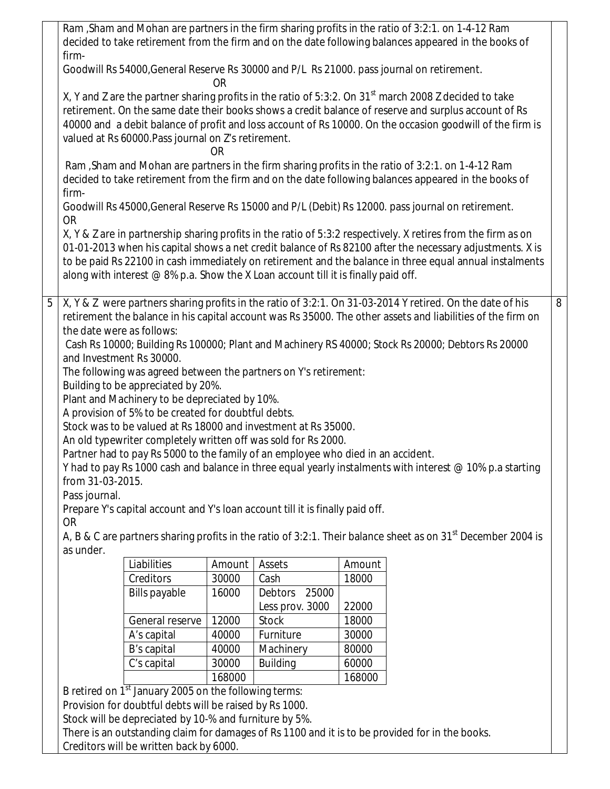|   | Ram, Sham and Mohan are partners in the firm sharing profits in the ratio of 3:2:1. on 1-4-12 Ram<br>firm-                                                                                                                                                                                                                                                                                                  |                           |        |        | decided to take retirement from the firm and on the date following balances appeared in the books of                                                                                                                                                                                                                                 |   |  |  |
|---|-------------------------------------------------------------------------------------------------------------------------------------------------------------------------------------------------------------------------------------------------------------------------------------------------------------------------------------------------------------------------------------------------------------|---------------------------|--------|--------|--------------------------------------------------------------------------------------------------------------------------------------------------------------------------------------------------------------------------------------------------------------------------------------------------------------------------------------|---|--|--|
|   | Goodwill Rs 54000, General Reserve Rs 30000 and P/L Rs 21000. pass journal on retirement.                                                                                                                                                                                                                                                                                                                   | <b>OR</b>                 |        |        |                                                                                                                                                                                                                                                                                                                                      |   |  |  |
|   | X, Y and Z are the partner sharing profits in the ratio of 5:3:2. On 31 <sup>st</sup> march 2008 Z decided to take<br>retirement. On the same date their books shows a credit balance of reserve and surplus account of Rs<br>40000 and a debit balance of profit and loss account of Rs 10000. On the occasion goodwill of the firm is<br>valued at Rs 60000. Pass journal on Z's retirement.<br><b>OR</b> |                           |        |        |                                                                                                                                                                                                                                                                                                                                      |   |  |  |
|   | Ram, Sham and Mohan are partners in the firm sharing profits in the ratio of 3:2:1. on 1-4-12 Ram<br>firm-                                                                                                                                                                                                                                                                                                  |                           |        |        | decided to take retirement from the firm and on the date following balances appeared in the books of                                                                                                                                                                                                                                 |   |  |  |
|   | Goodwill Rs 45000, General Reserve Rs 15000 and P/L (Debit) Rs 12000. pass journal on retirement.<br><b>OR</b>                                                                                                                                                                                                                                                                                              |                           |        |        |                                                                                                                                                                                                                                                                                                                                      |   |  |  |
|   | along with interest $@8\%$ p.a. Show the X Loan account till it is finally paid off.                                                                                                                                                                                                                                                                                                                        |                           |        |        | X, Y & Z are in partnership sharing profits in the ratio of 5:3:2 respectively. X retires from the firm as on<br>01-01-2013 when his capital shows a net credit balance of Rs 82100 after the necessary adjustments. X is<br>to be paid Rs 22100 in cash immediately on retirement and the balance in three equal annual instalments |   |  |  |
| 5 | X, Y & Z were partners sharing profits in the ratio of 3:2:1. On 31-03-2014 Y retired. On the date of his                                                                                                                                                                                                                                                                                                   |                           |        |        | retirement the balance in his capital account was Rs 35000. The other assets and liabilities of the firm on                                                                                                                                                                                                                          | 8 |  |  |
|   | the date were as follows:<br>and Investment Rs 30000.                                                                                                                                                                                                                                                                                                                                                       |                           |        |        | Cash Rs 10000; Building Rs 100000; Plant and Machinery RS 40000; Stock Rs 20000; Debtors Rs 20000                                                                                                                                                                                                                                    |   |  |  |
|   | The following was agreed between the partners on Y's retirement:                                                                                                                                                                                                                                                                                                                                            |                           |        |        |                                                                                                                                                                                                                                                                                                                                      |   |  |  |
|   | Building to be appreciated by 20%.                                                                                                                                                                                                                                                                                                                                                                          |                           |        |        |                                                                                                                                                                                                                                                                                                                                      |   |  |  |
|   | Plant and Machinery to be depreciated by 10%.<br>A provision of 5% to be created for doubtful debts.                                                                                                                                                                                                                                                                                                        |                           |        |        |                                                                                                                                                                                                                                                                                                                                      |   |  |  |
|   | Stock was to be valued at Rs 18000 and investment at Rs 35000.                                                                                                                                                                                                                                                                                                                                              |                           |        |        |                                                                                                                                                                                                                                                                                                                                      |   |  |  |
|   | An old typewriter completely written off was sold for Rs 2000.                                                                                                                                                                                                                                                                                                                                              |                           |        |        |                                                                                                                                                                                                                                                                                                                                      |   |  |  |
|   | Partner had to pay Rs 5000 to the family of an employee who died in an accident.                                                                                                                                                                                                                                                                                                                            |                           |        |        |                                                                                                                                                                                                                                                                                                                                      |   |  |  |
|   | from 31-03-2015.                                                                                                                                                                                                                                                                                                                                                                                            |                           |        |        | Y had to pay Rs 1000 cash and balance in three equal yearly instalments with interest $@$ 10% p.a starting                                                                                                                                                                                                                           |   |  |  |
|   | Pass journal.                                                                                                                                                                                                                                                                                                                                                                                               |                           |        |        |                                                                                                                                                                                                                                                                                                                                      |   |  |  |
|   | Prepare Y's capital account and Y's loan account till it is finally paid off.<br><b>OR</b>                                                                                                                                                                                                                                                                                                                  |                           |        |        |                                                                                                                                                                                                                                                                                                                                      |   |  |  |
|   |                                                                                                                                                                                                                                                                                                                                                                                                             |                           |        |        | A, B & C are partners sharing profits in the ratio of 3:2:1. Their balance sheet as on 31 <sup>st</sup> December 2004 is                                                                                                                                                                                                             |   |  |  |
|   | as under.<br>Liabilities                                                                                                                                                                                                                                                                                                                                                                                    | Amount                    | Assets | Amount |                                                                                                                                                                                                                                                                                                                                      |   |  |  |
|   | Creditors                                                                                                                                                                                                                                                                                                                                                                                                   | 30000                     | Cash   | 18000  |                                                                                                                                                                                                                                                                                                                                      |   |  |  |
|   | <b>Bills payable</b>                                                                                                                                                                                                                                                                                                                                                                                        | 25000<br>Debtors<br>16000 |        |        |                                                                                                                                                                                                                                                                                                                                      |   |  |  |
|   |                                                                                                                                                                                                                                                                                                                                                                                                             | Less prov. 3000<br>22000  |        |        |                                                                                                                                                                                                                                                                                                                                      |   |  |  |
|   | General reserve<br>12000<br>Stock<br>18000                                                                                                                                                                                                                                                                                                                                                                  |                           |        |        |                                                                                                                                                                                                                                                                                                                                      |   |  |  |
|   | A's capital<br>40000<br>Furniture<br>30000                                                                                                                                                                                                                                                                                                                                                                  |                           |        |        |                                                                                                                                                                                                                                                                                                                                      |   |  |  |
|   | B's capital<br>Machinery<br>80000<br>40000                                                                                                                                                                                                                                                                                                                                                                  |                           |        |        |                                                                                                                                                                                                                                                                                                                                      |   |  |  |
|   | C's capital<br>30000<br><b>Building</b><br>60000<br>168000<br>168000                                                                                                                                                                                                                                                                                                                                        |                           |        |        |                                                                                                                                                                                                                                                                                                                                      |   |  |  |
|   | B retired on 1 <sup>st</sup> January 2005 on the following terms:                                                                                                                                                                                                                                                                                                                                           |                           |        |        |                                                                                                                                                                                                                                                                                                                                      |   |  |  |
|   | Provision for doubtful debts will be raised by Rs 1000.                                                                                                                                                                                                                                                                                                                                                     |                           |        |        |                                                                                                                                                                                                                                                                                                                                      |   |  |  |
|   | Stock will be depreciated by 10-% and furniture by 5%.                                                                                                                                                                                                                                                                                                                                                      |                           |        |        |                                                                                                                                                                                                                                                                                                                                      |   |  |  |

There is an outstanding claim for damages of Rs 1100 and it is to be provided for in the books.

Creditors will be written back by 6000.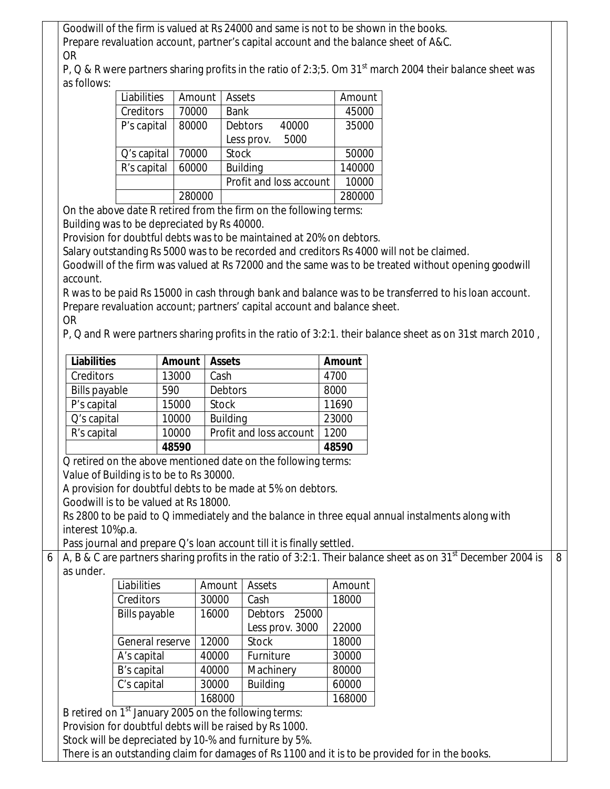Goodwill of the firm is valued at Rs 24000 and same is not to be shown in the books. Prepare revaluation account, partner's capital account and the balance sheet of A&C. OR

P, Q & R were partners sharing profits in the ratio of 2:3;5. Om 31<sup>st</sup> march 2004 their balance sheet was as follows:

| Liabilities      | Amount | Assets                  | Amount |
|------------------|--------|-------------------------|--------|
| <b>Creditors</b> | 70000  | <b>Bank</b>             | 45000  |
| P's capital      | 80000  | <b>Debtors</b><br>40000 | 35000  |
|                  |        | 5000<br>Less prov.      |        |
| Q's capital      | 70000  | <b>Stock</b>            | 50000  |
| R's capital      | 60000  | <b>Building</b>         | 140000 |
|                  |        | Profit and loss account | 10000  |
|                  | 280000 |                         | 280000 |

On the above date R retired from the firm on the following terms: Building was to be depreciated by Rs 40000.

Provision for doubtful debts was to be maintained at 20% on debtors.

Salary outstanding Rs 5000 was to be recorded and creditors Rs 4000 will not be claimed.

Goodwill of the firm was valued at Rs 72000 and the same was to be treated without opening goodwill account.

R was to be paid Rs 15000 in cash through bank and balance was to be transferred to his loan account. Prepare revaluation account; partners' capital account and balance sheet. OR

P, Q and R were partners sharing profits in the ratio of 3:2:1. their balance sheet as on 31st march 2010 ,

| <b>Liabilities</b>   | Amount | <b>Assets</b>           | <b>Amount</b> |
|----------------------|--------|-------------------------|---------------|
| Creditors            | 13000  | Cash                    | 4700          |
| <b>Bills payable</b> | 590    | <b>Debtors</b>          | 8000          |
| P's capital          | 15000  | <b>Stock</b>            | 11690         |
| Q's capital          | 10000  | <b>Building</b>         | 23000         |
| R's capital          | 10000  | Profit and loss account | 1200          |
|                      | 48590  |                         | 48590         |

Q retired on the above mentioned date on the following terms:

Value of Building is to be to Rs 30000.

A provision for doubtful debts to be made at 5% on debtors.

Goodwill is to be valued at Rs 18000.

Rs 2800 to be paid to Q immediately and the balance in three equal annual instalments along with interest 10%p.a.

Pass journal and prepare Q's loan account till it is finally settled.

6 A, B & C are partners sharing profits in the ratio of 3:2:1. Their balance sheet as on 31<sup>st</sup> December 2004 is as under. 8

| Liabilities          | Amount | Assets          | Amount |
|----------------------|--------|-----------------|--------|
| Creditors            | 30000  | Cash            | 18000  |
| <b>Bills payable</b> | 16000  | Debtors 25000   |        |
|                      |        | Less prov. 3000 | 22000  |
| General reserve      | 12000  | <b>Stock</b>    | 18000  |
| A's capital          | 40000  | Furniture       | 30000  |
| B's capital          | 40000  | Machinery       | 80000  |
| C's capital          | 30000  | <b>Building</b> | 60000  |
|                      | 168000 |                 | 168000 |

B retired on  $1<sup>st</sup>$  January 2005 on the following terms:

Provision for doubtful debts will be raised by Rs 1000.

Stock will be depreciated by 10-% and furniture by 5%.

There is an outstanding claim for damages of Rs 1100 and it is to be provided for in the books.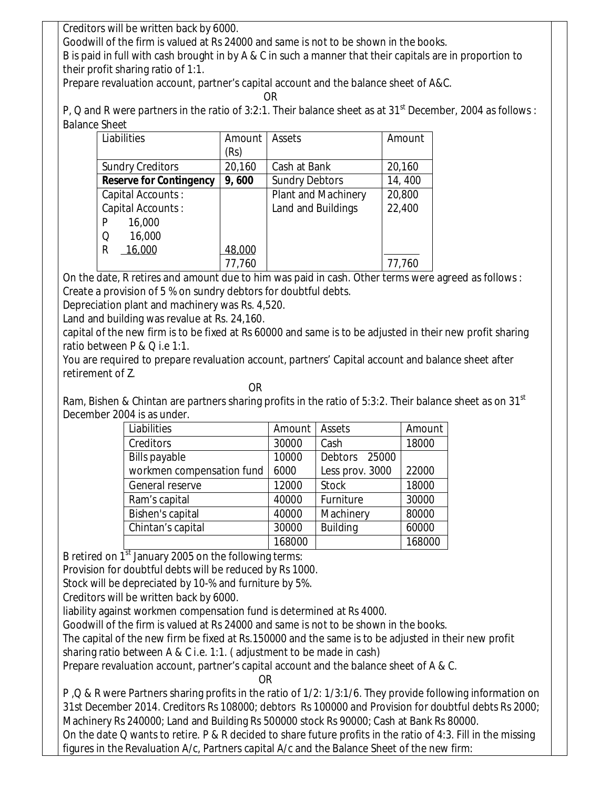Creditors will be written back by 6000.

Goodwill of the firm is valued at Rs 24000 and same is not to be shown in the books.

B is paid in full with cash brought in by A & C in such a manner that their capitals are in proportion to their profit sharing ratio of 1:1.

Prepare revaluation account, partner's capital account and the balance sheet of A&C.

**OR** Service Service Service Service Service Service Service Service Service Service Service Service Service Service Service Service Service Service Service Service Service Service Service Service Service Service Service S

P, Q and R were partners in the ratio of 3:2:1. Their balance sheet as at 31<sup>st</sup> December, 2004 as follows : Balance Sheet

| Liabilities                    | Amount | Assets                     | Amount |
|--------------------------------|--------|----------------------------|--------|
|                                | (Rs)   |                            |        |
| <b>Sundry Creditors</b>        | 20,160 | Cash at Bank               | 20,160 |
| <b>Reserve for Contingency</b> | 9,600  | <b>Sundry Debtors</b>      | 14,400 |
| Capital Accounts:              |        | <b>Plant and Machinery</b> | 20,800 |
| Capital Accounts:              |        | Land and Buildings         | 22,400 |
| 16,000<br>P                    |        |                            |        |
| 16,000<br>O                    |        |                            |        |
| 16,000<br>R                    | 48,000 |                            |        |
|                                | 77,760 |                            | 77,760 |

On the date, R retires and amount due to him was paid in cash. Other terms were agreed as follows : Create a provision of 5 % on sundry debtors for doubtful debts.

Depreciation plant and machinery was Rs. 4,520.

Land and building was revalue at Rs. 24,160.

capital of the new firm is to be fixed at Rs 60000 and same is to be adjusted in their new profit sharing ratio between P & Q i.e 1:1.

You are required to prepare revaluation account, partners' Capital account and balance sheet after retirement of Z.

**OR** Service of the state of the state of the state of the state of the state of the state of the state of the state of the state of the state of the state of the state of the state of the state of the state of the state o Ram, Bishen & Chintan are partners sharing profits in the ratio of 5:3:2. Their balance sheet as on 31<sup>st</sup> December 2004 is as under.

| Liabilities               | Amount | Assets          | Amount |
|---------------------------|--------|-----------------|--------|
| Creditors                 | 30000  | Cash            | 18000  |
| <b>Bills payable</b>      | 10000  | Debtors 25000   |        |
| workmen compensation fund | 6000   | Less prov. 3000 | 22000  |
| General reserve           | 12000  | <b>Stock</b>    | 18000  |
| Ram's capital             | 40000  | Furniture       | 30000  |
| Bishen's capital          | 40000  | Machinery       | 80000  |
| Chintan's capital         | 30000  | <b>Building</b> | 60000  |
|                           | 168000 |                 | 168000 |

B retired on 1<sup>st</sup> January 2005 on the following terms:

Provision for doubtful debts will be reduced by Rs 1000.

Stock will be depreciated by 10-% and furniture by 5%.

Creditors will be written back by 6000.

liability against workmen compensation fund is determined at Rs 4000.

Goodwill of the firm is valued at Rs 24000 and same is not to be shown in the books.

The capital of the new firm be fixed at Rs.150000 and the same is to be adjusted in their new profit

sharing ratio between A & C i.e. 1:1. ( adjustment to be made in cash)

Prepare revaluation account, partner's capital account and the balance sheet of A & C.

**OR** Service Service Service Service Service Service Service Service Service Service Service Service Service Service Service Service Service Service Service Service Service Service Service Service Service Service Service S

P ,Q & R were Partners sharing profits in the ratio of 1/2: 1/3:1/6. They provide following information on 31st December 2014. Creditors Rs 108000; debtors Rs 100000 and Provision for doubtful debts Rs 2000; Machinery Rs 240000; Land and Building Rs 500000 stock Rs 90000; Cash at Bank Rs 80000. On the date Q wants to retire. P & R decided to share future profits in the ratio of 4:3. Fill in the missing figures in the Revaluation A/c, Partners capital A/c and the Balance Sheet of the new firm: